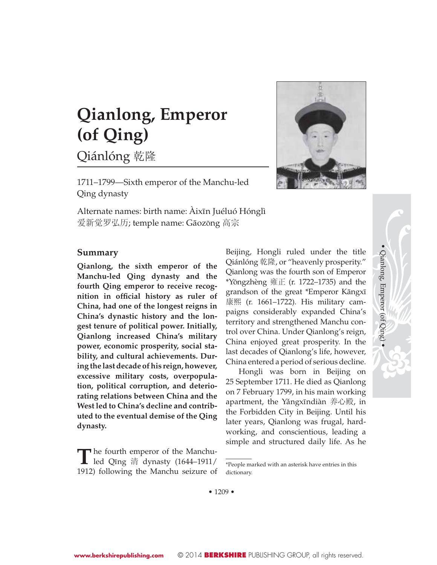# **Qianlong, Emperor (of Qing)**

Qiánlóng 乾隆

1711–1799—Sixth emperor of the Manchu-led Qing dynasty

Alternate names: birth name: Àixīn Juéluó Hónglì 爱新觉罗弘历; temple name: Gāozōng 高宗



### **Summary**

**Qianlong, the sixth emperor of the Manchu-led Qing dynasty and the fourth Qing emperor to receive recognition** in official history as ruler of **China, had one of the longest reigns in China's dynastic history and the longest tenure of political power. Initially, Qianlong increased China's military power, economic prosperity, social stability, and cultural achievements. During the last decade of his reign, however, excessive military costs, overpopulation, political corruption, and deteriorating relations between China and the West led to China's decline and contributed to the eventual demise of the Qing dynasty.**

**T** he fourth emperor of the Manchu-<br>led Qīng 清 dynasty (1644–1911/ 1912) following the Manchu seizure of Beijing, Hongli ruled under the title Qiánlóng 乾隆, or "heavenly prosperity." Qianlong was the fourth son of Emperor  $*$ Yōngzhèng 雍正 (r. 1722–1735) and the grandson of the great \*Emperor Kāngxī 康熙 (r. 1661–1722). His military campaigns considerably expanded China's territory and strengthened Manchu control over China. Under Qianlong's reign, China enjoyed great prosperity. In the last decades of Qianlong's life, however, China entered a period of serious decline. • Qianlong, Emperor (of Qing) •

Qianlong, Emperor (of Qing)

Hongli was born in Beijing on 25 September 1711. He died as Qianlong on 7 February 1799, in his main working apartment, the Yǎngxīndiàn 养心殿, in the Forbidden City in Beijing. Until his later years, Qianlong was frugal, hardworking, and conscientious, leading a simple and structured daily life. As he

• 1209 •

<sup>\*</sup>People marked with an asterisk have entries in this dictionary.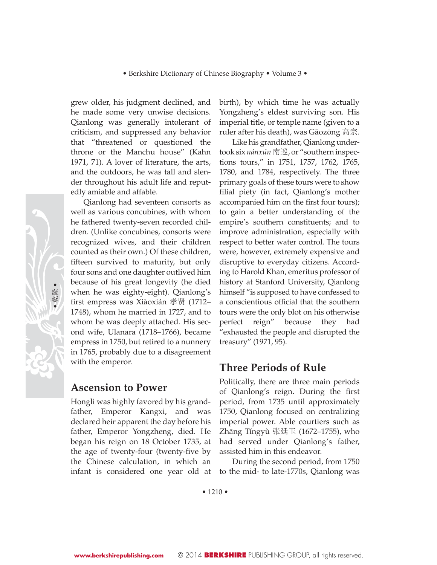grew older, his judgment declined, and he made some very unwise decisions. Qianlong was generally intolerant of criticism, and suppressed any behavior that "threatened or questioned the throne or the Manchu house" (Kahn 1971, 71). A lover of literature, the arts, and the outdoors, he was tall and slender throughout his adult life and reputedly amiable and affable.

Qianlong had seventeen consorts as well as various concubines, with whom he fathered twenty-seven recorded children. (Unlike concubines, consorts were recognized wives, and their children counted as their own.) Of these children, fifteen survived to maturity, but only four sons and one daughter outlived him because of his great longevity (he died when he was eighty-eight). Qianlong's first empress was Xiàoxián 孝贤 (1712– 1748), whom he married in 1727, and to whom he was deeply attached. His second wife, Ulanara (1718–1766), became empress in 1750, but retired to a nunnery in 1765, probably due to a disagreement with the emperor.

### **Ascension to Power**

Hongli was highly favored by his grandfather, Emperor Kangxi, and was declared heir apparent the day before his father, Emperor Yongzheng, died. He began his reign on 18 October 1735, at the age of twenty-four (twenty-five by the Chinese calculation, in which an infant is considered one year old at

birth), by which time he was actually Yongzheng's eldest surviving son. His imperial title, or temple name (given to a ruler after his death), was Gāozōng 高宗.

Like his grandfather, Qianlong undertook six *nánxún* 南巡, or "southern inspections tours," in 1751, 1757, 1762, 1765, 1780, and 1784, respectively. The three primary goals of these tours were to show filial piety (in fact, Qianlong's mother accompanied him on the first four tours); to gain a better understanding of the empire's southern constituents; and to improve administration, especially with respect to better water control. The tours were, however, extremely expensive and disruptive to everyday citizens. According to Harold Khan, emeritus professor of history at Stanford University, Qianlong himself "is supposed to have confessed to a conscientious official that the southern tours were the only blot on his otherwise perfect reign" because they had "exhausted the people and disrupted the treasury" (1971, 95).

### **Three Periods of Rule**

Politically, there are three main periods of Qianlong's reign. During the first period, from 1735 until approximately 1750, Qianlong focused on centralizing imperial power. Able courtiers such as Zhāng Tíngyù 张廷玉 (1672–1755), who had served under Qianlong's father, assisted him in this endeavor.

During the second period, from 1750 to the mid- to late-1770s, Qianlong was

• 1210 •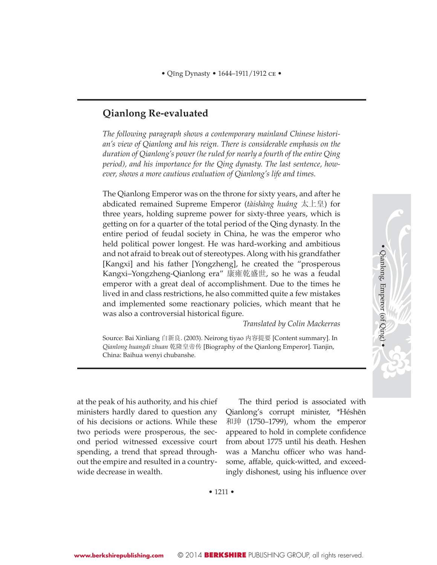### **Qianlong Re-evaluated**

*The following paragraph shows a contemporary mainland Chinese historian's view of Qianlong and his reign. There is considerable emphasis on the duration of Qianlong's power (he ruled for nearly a fourth of the entire Qing period), and his importance for the Qing dynasty. The last sentence, however, shows a more cautious evaluation of Qianlong's life and times.*

The Qianlong Emperor was on the throne for sixty years, and after he abdicated remained Supreme Emperor (*tàishàng huáng* Ϟⱛ) for three years, holding supreme power for sixty-three years, which is getting on for a quarter of the total period of the Qing dynasty. In the entire period of feudal society in China, he was the emperor who held political power longest. He was hard-working and ambitious and not afraid to break out of stereotypes. Along with his grandfather [Kangxi] and his father [Yongzheng], he created the "prosperous Kangxi–Yongzheng-Qianlong era" 康雍乾盛世, so he was a feudal emperor with a great deal of accomplishment. Due to the times he lived in and class restrictions, he also committed quite a few mistakes and implemented some reactionary policies, which meant that he was also a controversial historical figure.

*Translated by Colin Mackerras*

• Qianlong, Emperor (of Qing) •

· Qianlong, Emperor (of Qing) ·

Source: Bai Xinliang 白新良. (2003). Neirong tiyao 内容提要 [Content summary]. In *Qianlong huangdi zhuan* ђ䱚ⱛᏱӴ [Biography of the Qianlong Emperor]. Tianjin, China: Baihua wenyi chubanshe.

at the peak of his authority, and his chief ministers hardly dared to question any of his decisions or actions. While these two periods were prosperous, the second period witnessed excessive court spending, a trend that spread throughout the empire and resulted in a countrywide decrease in wealth.

The third period is associated with Qianlong's corrupt minister, \*Héshēn 和珅  $(1750-1799)$ , whom the emperor appeared to hold in complete confidence from about 1775 until his death. Heshen was a Manchu officer who was handsome, affable, quick-witted, and exceedingly dishonest, using his influence over

• 1211 •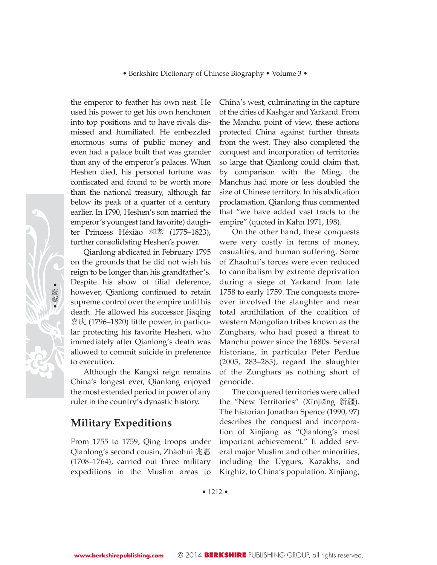the emperor to feather his own nest. He used his power to get his own henchmen into top positions and to have rivals dismissed and humiliated. He embezzled enormous sums of public money and even had a palace built that was grander than any of the emperor's palaces. When Heshen died, his personal fortune was confiscated and found to be worth more than the national treasury, although far below its peak of a quarter of a century earlier. In 1790, Heshen's son married the emperor's youngest (and favorite) daughter Princess Héxiào 和孝 (1775–1823), further consolidating Heshen's power.

Qianlong abdicated in February 1795 on the grounds that he did not wish his reign to be longer than his grandfather's. Despite his show of filial deference, however, Qianlong continued to retain supreme control over the empire until his death. He allowed his successor Jiāqìng ᑚ (1796–1820) little power, in particular protecting his favorite Heshen, who immediately after Qianlong's death was allowed to commit suicide in preference to execution.

Although the Kangxi reign remains China's longest ever, Qianlong enjoyed the most extended period in power of any ruler in the country's dynastic history.

# **Military Expeditions**

From 1755 to 1759, Qing troops under Qianlong's second cousin, Zhàohuì 兆惠 (1708–1764), carried out three military expeditions in the Muslim areas to

 China's west, culminating in the capture of the cities of Kashgar and Yarkand. From the Manchu point of view, these actions protected China against further threats from the west. They also completed the conquest and incorporation of territories so large that Qianlong could claim that, by comparison with the Ming, the Manchus had more or less doubled the size of Chinese territory. In his abdication proclamation, Qianlong thus commented that "we have added vast tracts to the empire" (quoted in Kahn 1971, 198).

On the other hand, these conquests were very costly in terms of money, casualties, and human suffering. Some of Zhaohui's forces were even reduced to cannibalism by extreme deprivation during a siege of Yarkand from late 1758 to early 1759. The conquests moreover involved the slaughter and near total annihilation of the coalition of western Mongolian tribes known as the Zunghars, who had posed a threat to Manchu power since the 1680s. Several historians, in particular Peter Perdue (2005, 283–285), regard the slaughter of the Zunghars as nothing short of genocide.

The conquered territories were called the "New Territories" (Xīnjiāng 新疆). The historian Jonathan Spence (1990, 97) describes the conquest and incorporation of Xinjiang as "Qianlong's most important achievement." It added several major Muslim and other minorities, including the Uygurs, Kazakhs, and Kirghiz, to China's population. Xinjiang,

• 1212 •

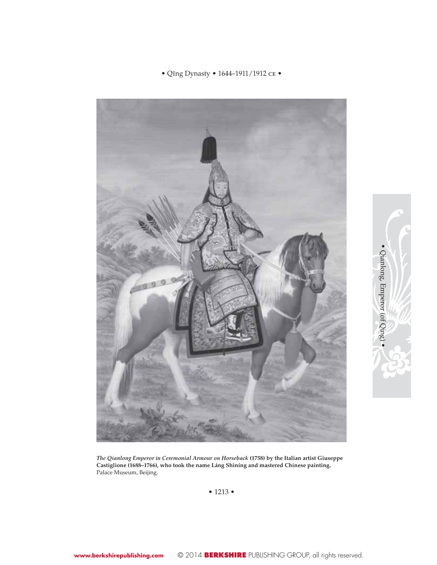### • Qīng Dynasty • 1644–1911/1912 $\rm{ce}$  •



· Qianlong, Emperor (of Qing) • Qianlong, Emperor (of Qing) •

*The Qianlong Emperor in Ceremonial Armour on Horseback* **(1758) by the Italian artist Giuseppe Castiglione (1688–1766), who took the name Láng Shìníng and mastered Chinese painting.** Palace Museum, Beijing.

• 1213 •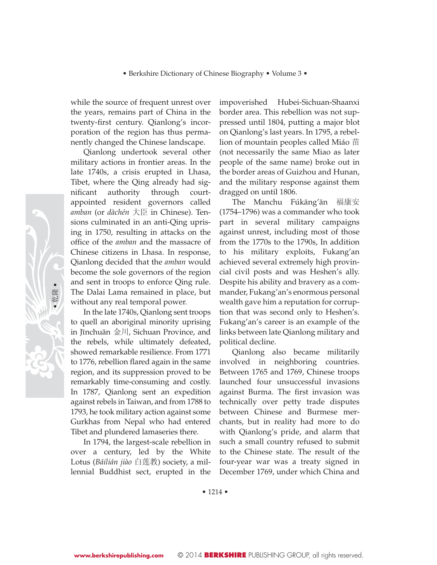while the source of frequent unrest over the years, remains part of China in the twenty-first century. Qianlong's incorporation of the region has thus permanently changed the Chinese landscape.

Qianlong undertook several other military actions in frontier areas. In the late 1740s, a crisis erupted in Lhasa, Tibet, where the Qing already had significant authority through courtappointed resident governors called *amban* (or *dàchén* 㞷 in Chinese). Tensions culminated in an anti-Qing uprising in 1750, resulting in attacks on the office of the *amban* and the massacre of Chinese citizens in Lhasa. In response, Qianlong decided that the *amban* would become the sole governors of the region and sent in troops to enforce Qing rule. The Dalai Lama remained in place, but without any real temporal power.

In the late 1740s, Qianlong sent troops to quell an aboriginal minority uprising in Jīnchuān 金川, Sichuan Province, and the rebels, while ultimately defeated, showed remarkable resilience. From 1771 to 1776, rebellion flared again in the same region, and its suppression proved to be remarkably time-consuming and costly. In 1787, Qianlong sent an expedition against rebels in Taiwan, and from 1788 to 1793, he took military action against some Gurkhas from Nepal who had entered Tibet and plundered lamaseries there.

In 1794, the largest-scale rebellion in over a century, led by the White Lotus (Báilián jiào 白莲教) society, a millennial Buddhist sect, erupted in the

impoverished Hubei-Sichuan-Shaanxi border area. This rebellion was not suppressed until 1804, putting a major blot on Qianlong's last years. In 1795, a rebellion of mountain peoples called Miáo  $\ddot{\boxplus}$ (not necessarily the same Miao as later people of the same name) broke out in the border areas of Guizhou and Hunan, and the military response against them dragged on until 1806.

The Manchu Fúkāng'ān 福康安 (1754–1796) was a commander who took part in several military campaigns against unrest, including most of those from the 1770s to the 1790s, In addition to his military exploits, Fukang'an achieved several extremely high provincial civil posts and was Heshen's ally. Despite his ability and bravery as a commander, Fukang'an's enormous personal wealth gave him a reputation for corruption that was second only to Heshen's. Fukang'an's career is an example of the links between late Qianlong military and political decline.

Qianlong also became militarily involved in neighboring countries. Between 1765 and 1769, Chinese troops launched four unsuccessful invasions against Burma. The first invasion was technically over petty trade disputes between Chinese and Burmese merchants, but in reality had more to do with Qianlong's pride, and alarm that such a small country refused to submit to the Chinese state. The result of the four-year war was a treaty signed in December 1769, under which China and

• 1214 •

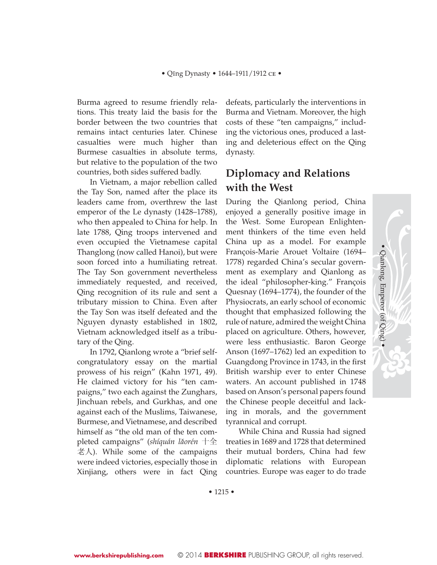Burma agreed to resume friendly relations. This treaty laid the basis for the border between the two countries that remains intact centuries later. Chinese casualties were much higher than Burmese casualties in absolute terms, but relative to the population of the two countries, both sides suffered badly.

In Vietnam, a major rebellion called the Tay Son, named after the place its leaders came from, overthrew the last emperor of the Le dynasty (1428–1788), who then appealed to China for help. In late 1788, Qing troops intervened and even occupied the Vietnamese capital Thanglong (now called Hanoi), but were soon forced into a humiliating retreat. The Tay Son government nevertheless immediately requested, and received, Qing recognition of its rule and sent a tributary mission to China. Even after the Tay Son was itself defeated and the Nguyen dynasty established in 1802, Vietnam acknowledged itself as a tributary of the Qing.

In 1792, Qianlong wrote a "brief selfcongratulatory essay on the martial prowess of his reign" (Kahn 1971, 49). He claimed victory for his "ten campaigns," two each against the Zunghars, Jinchuan rebels, and Gurkhas, and one against each of the Muslims, Taiwanese, Burmese, and Vietnamese, and described himself as "the old man of the ten completed campaigns" (shíquán lǎorén 十全  $\sharp$  人). While some of the campaigns were indeed victories, especially those in Xinjiang, others were in fact Qing

defeats, particularly the interventions in Burma and Vietnam. Moreover, the high costs of these "ten campaigns," including the victorious ones, produced a lasting and deleterious effect on the Qing dynasty.

# **Diplomacy and Relations with the West**

During the Qianlong period, China enjoyed a generally positive image in the West. Some European Enlightenment thinkers of the time even held China up as a model. For example François-Marie Arouet Voltaire (1694– 1778) regarded China's secular government as exemplary and Qianlong as the ideal "philosopher-king." François Quesnay (1694–1774), the founder of the Physiocrats, an early school of economic thought that emphasized following the rule of nature, admired the weight China placed on agriculture. Others, however, were less enthusiastic. Baron George Anson (1697–1762) led an expedition to Guangdong Province in 1743, in the first British warship ever to enter Chinese waters. An account published in 1748 based on Anson's personal papers found the Chinese people deceitful and lacking in morals, and the government tyrannical and corrupt.

• Qianlong, Emperor (of Qing) •

Qianlong, Emperor (of Qing)

While China and Russia had signed treaties in 1689 and 1728 that determined their mutual borders, China had few diplomatic relations with European countries. Europe was eager to do trade

• 1215 •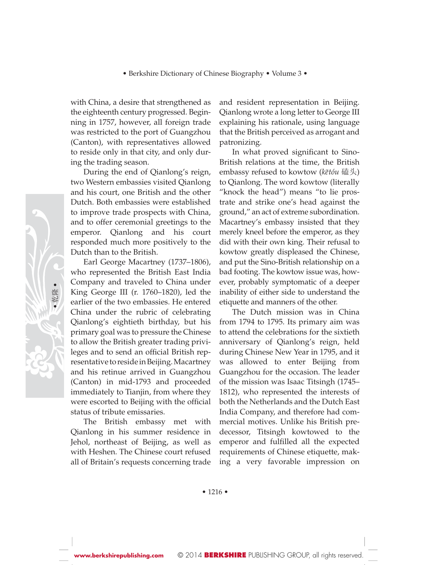with China, a desire that strengthened as the eighteenth century progressed. Beginning in 1757, however, all foreign trade was restricted to the port of Guangzhou (Canton), with representatives allowed to reside only in that city, and only during the trading season.

During the end of Qianlong's reign, two Western embassies visited Qianlong and his court, one British and the other Dutch. Both embassies were established to improve trade prospects with China, and to offer ceremonial greetings to the emperor. Qianlong and his court responded much more positively to the Dutch than to the British.

Earl George Macartney (1737–1806), who represented the British East India Company and traveled to China under King George III (r. 1760–1820), led the earlier of the two embassies. He entered China under the rubric of celebrating Qianlong's eightieth birthday, but his primary goal was to pressure the Chinese to allow the British greater trading privileges and to send an official British representative to reside in Beijing. Macartney and his retinue arrived in Guangzhou (Canton) in mid-1793 and proceeded immediately to Tianjin, from where they were escorted to Beijing with the official status of tribute emissaries.

The British embassy met with Qianlong in his summer residence in Jehol, northeast of Beijing, as well as with Heshen. The Chinese court refused all of Britain's requests concerning trade and resident representation in Beijing. Qianlong wrote a long letter to George III explaining his rationale, using language that the British perceived as arrogant and patronizing.

In what proved significant to Sino-British relations at the time, the British embassy refused to kowtow (kētóu 磕头) to Qianlong. The word kowtow (literally "knock the head") means "to lie prostrate and strike one's head against the ground," an act of extreme subordination. Macartney's embassy insisted that they merely kneel before the emperor, as they did with their own king. Their refusal to kowtow greatly displeased the Chinese, and put the Sino-British relationship on a bad footing. The kowtow issue was, however, probably symptomatic of a deeper inability of either side to understand the etiquette and manners of the other.

The Dutch mission was in China from 1794 to 1795. Its primary aim was to attend the celebrations for the sixtieth anniversary of Qianlong's reign, held during Chinese New Year in 1795, and it was allowed to enter Beijing from Guangzhou for the occasion. The leader of the mission was Isaac Titsingh (1745– 1812), who represented the interests of both the Netherlands and the Dutch East India Company, and therefore had commercial motives. Unlike his British predecessor, Titsingh kowtowed to the emperor and fulfilled all the expected requirements of Chinese etiquette, making a very favorable impression on



• 1216 •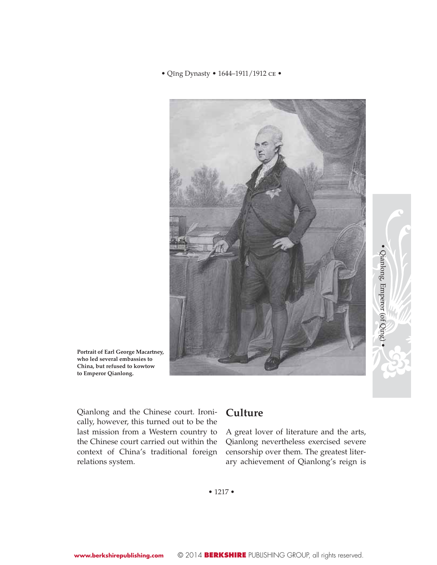#### • Qīng Dynasty • 1644-1911/1912 CE •



**Portrait of Earl George Macartney, who led several embassies to China, but refused to kowtow to Emperor Qianlong.**

Qianlong and the Chinese court. Ironically, however, this turned out to be the last mission from a Western country to the Chinese court carried out within the context of China's traditional foreign relations system.

# **Culture**

A great lover of literature and the arts, Qianlong nevertheless exercised severe censorship over them. The greatest literary achievement of Qianlong's reign is • Qianlong, Emperor (of Qing) •

· Qianlong, Emperor (of Qing

• 1217 •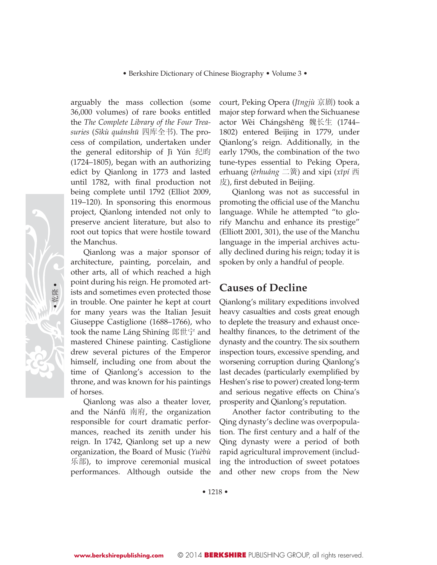arguably the mass collection (some 36,000 volumes) of rare books entitled the *The Complete Library of the Four Treasuries* (*Sìkù quánshu¯* ಯᑧܼк). The process of compilation, undertaken under the general editorship of Jì Yún 纪昀 (1724–1805), began with an authorizing edict by Qianlong in 1773 and lasted until 1782, with final production not being complete until 1792 (Elliot 2009, 119–120). In sponsoring this enormous project, Qianlong intended not only to preserve ancient literature, but also to root out topics that were hostile toward the Manchus.

Qianlong was a major sponsor of architecture, painting, porcelain, and other arts, all of which reached a high point during his reign. He promoted artists and sometimes even protected those in trouble. One painter he kept at court for many years was the Italian Jesuit Giuseppe Castiglione (1688–1766), who took the name Láng Shìníng 郎世宁 and mastered Chinese painting. Castiglione drew several pictures of the Emperor himself, including one from about the time of Qianlong's accession to the throne, and was known for his paintings of horses.

Qianlong was also a theater lover, and the Nánfǔ 南府, the organization responsible for court dramatic performances, reached its zenith under his reign. In 1742, Qianlong set up a new organization, the Board of Music (*Yuèbù*  $\#$ 部), to improve ceremonial musical performances. Although outside the

court, Peking Opera (*Jīngjù* 京剧) took a major step forward when the Sichuanese actor Wèi Chángshēng 魏长生 (1744– 1802) entered Beijing in 1779, under Qianlong's reign. Additionally, in the early 1790s, the combination of the two tune-types essential to Peking Opera, erhuang (*èrhuáng* 二簧) and xipi (*xīpí* 西  $\ddot{E}$ ), first debuted in Beijing.

Qianlong was not as successful in promoting the official use of the Manchu language. While he attempted "to glorify Manchu and enhance its prestige" (Elliott 2001, 301), the use of the Manchu language in the imperial archives actually declined during his reign; today it is spoken by only a handful of people.

### **Causes of Decline**

Qianlong's military expeditions involved heavy casualties and costs great enough to deplete the treasury and exhaust oncehealthy finances, to the detriment of the dynasty and the country. The six southern inspection tours, excessive spending, and worsening corruption during Qianlong's last decades (particularly exemplified by Heshen's rise to power) created long-term and serious negative effects on China's prosperity and Qianlong's reputation.

Another factor contributing to the Qing dynasty's decline was overpopulation. The first century and a half of the Qing dynasty were a period of both rapid agricultural improvement (including the introduction of sweet potatoes and other new crops from the New

• 1218 •

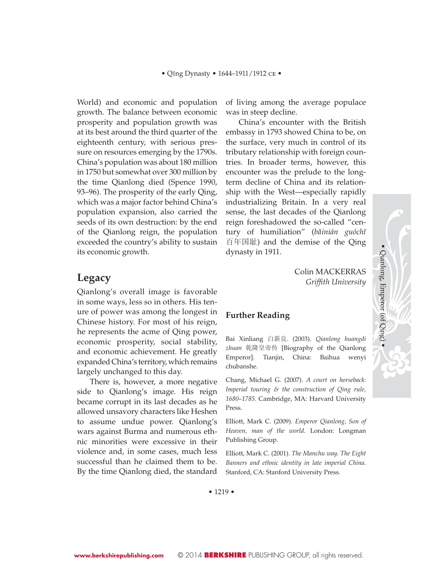World) and economic and population growth. The balance between economic prosperity and population growth was at its best around the third quarter of the eighteenth century, with serious pressure on resources emerging by the 1790s. China's population was about 180 million in 1750 but somewhat over 300 million by the time Qianlong died (Spence 1990, 93–96). The prosperity of the early Qing, which was a major factor behind China's population expansion, also carried the seeds of its own destruction: by the end of the Qianlong reign, the population exceeded the country's ability to sustain its economic growth.

### **Legacy**

Qianlong's overall image is favorable in some ways, less so in others. His tenure of power was among the longest in Chinese history. For most of his reign, he represents the acme of Qing power, economic prosperity, social stability, and economic achievement. He greatly expanded China's territory, which remains largely unchanged to this day.

There is, however, a more negative side to Qianlong's image. His reign became corrupt in its last decades as he allowed unsavory characters like Heshen to assume undue power. Qianlong's wars against Burma and numerous ethnic minorities were excessive in their violence and, in some cases, much less successful than he claimed them to be. By the time Qianlong died, the standard of living among the average populace was in steep decline.

China's encounter with the British embassy in 1793 showed China to be, on the surface, very much in control of its tributary relationship with foreign countries. In broader terms, however, this encounter was the prelude to the longterm decline of China and its relationship with the West—especially rapidly industrializing Britain. In a very real sense, the last decades of the Qianlong reign foreshadowed the so-called "century of humiliation" (*baˇinián guóchıˇ*  ⱒᑈ㘏) and the demise of the Qing dynasty in 1911.

> Colin MACKERRAS *Griffi th University*

### **Further Reading**

Bai Xinliang ⱑᮄ㡃. (2003). *Qianlong huangdi zhuan* ђ䱚ⱛᏱӴ [Biography of the Qianlong Emperor]. Tianjin, China: Baihua wenyi chubanshe.

Chang, Michael G. (2007). *A court on horseback: Imperial touring & the construction of Qing rule, 1680*–*1785.* Cambridge, MA: Harvard University Press.

Elliott, Mark C. (2009). *Emperor Qianlong, Son of Heaven, man of the world*. London: Longman Publishing Group.

Elliott, Mark C. (2001). *The Manchu way. The Eight Banners and ethnic identity in late imperial China*. Stanford, CA: Stanford University Press.

Qianlong, Emperor (of Qing)

• Qianlong, Emperor (of Qing) •

• 1219 •